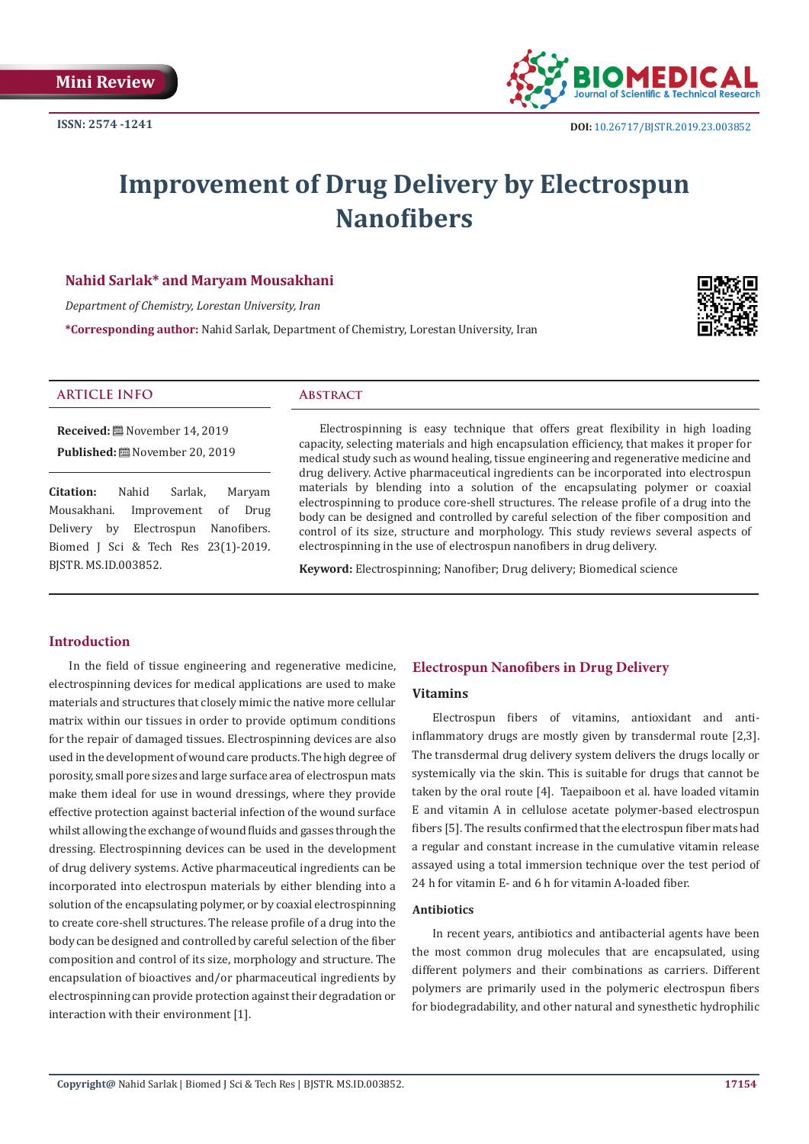

# **Improvement of Drug Delivery by Electrospun Nanofibers**

# **Nahid Sarlak\* and Maryam Mousakhani**

*Department of Chemistry, Lorestan University, Iran*

**\*Corresponding author:** Nahid Sarlak, Department of Chemistry, Lorestan University, Iran



### **ARTICLE INFO Abstract**

**Received:** November 14, 2019 **Published:** November 20, 2019

**Citation:** Nahid Sarlak, Maryam Mousakhani. Improvement of Drug Delivery by Electrospun Nanofibers. Biomed J Sci & Tech Res 23(1)-2019. BJSTR. MS.ID.003852.

Electrospinning is easy technique that offers great flexibility in high loading capacity, selecting materials and high encapsulation efficiency, that makes it proper for medical study such as wound healing, tissue engineering and regenerative medicine and drug delivery. Active pharmaceutical ingredients can be incorporated into electrospun materials by blending into a solution of the encapsulating polymer or coaxial electrospinning to produce core-shell structures. The release profile of a drug into the body can be designed and controlled by careful selection of the fiber composition and control of its size, structure and morphology. This study reviews several aspects of electrospinning in the use of electrospun nanofibers in drug delivery.

**Keyword:** Electrospinning; Nanofiber; Drug delivery; Biomedical science

# **Introduction**

In the field of tissue engineering and regenerative medicine, electrospinning devices for medical applications are used to make materials and structures that closely mimic the native more cellular matrix within our tissues in order to provide optimum conditions for the repair of damaged tissues. Electrospinning devices are also used in the development of wound care products. The high degree of porosity, small pore sizes and large surface area of electrospun mats make them ideal for use in wound dressings, where they provide effective protection against bacterial infection of the wound surface whilst allowing the exchange of wound fluids and gasses through the dressing. Electrospinning devices can be used in the development of drug delivery systems. Active pharmaceutical ingredients can be incorporated into electrospun materials by either blending into a solution of the encapsulating polymer, or by coaxial electrospinning to create core-shell structures. The release profile of a drug into the body can be designed and controlled by careful selection of the fiber composition and control of its size, morphology and structure. The encapsulation of bioactives and/or pharmaceutical ingredients by electrospinning can provide protection against their degradation or interaction with their environment [1].

# **Electrospun Nanofibers in Drug Delivery**

#### **Vitamins**

Electrospun fibers of vitamins, antioxidant and antiinflammatory drugs are mostly given by transdermal route [2,3]. The transdermal drug delivery system delivers the drugs locally or systemically via the skin. This is suitable for drugs that cannot be taken by the oral route [4]. Taepaiboon et al. have loaded vitamin E and vitamin A in cellulose acetate polymer-based electrospun fibers [5]. The results confirmed that the electrospun fiber mats had a regular and constant increase in the cumulative vitamin release assayed using a total immersion technique over the test period of 24 h for vitamin E- and 6 h for vitamin A-loaded fiber.

#### **Antibiotics**

In recent years, antibiotics and antibacterial agents have been the most common drug molecules that are encapsulated, using different polymers and their combinations as carriers. Different polymers are primarily used in the polymeric electrospun fibers for biodegradability, and other natural and synesthetic hydrophilic